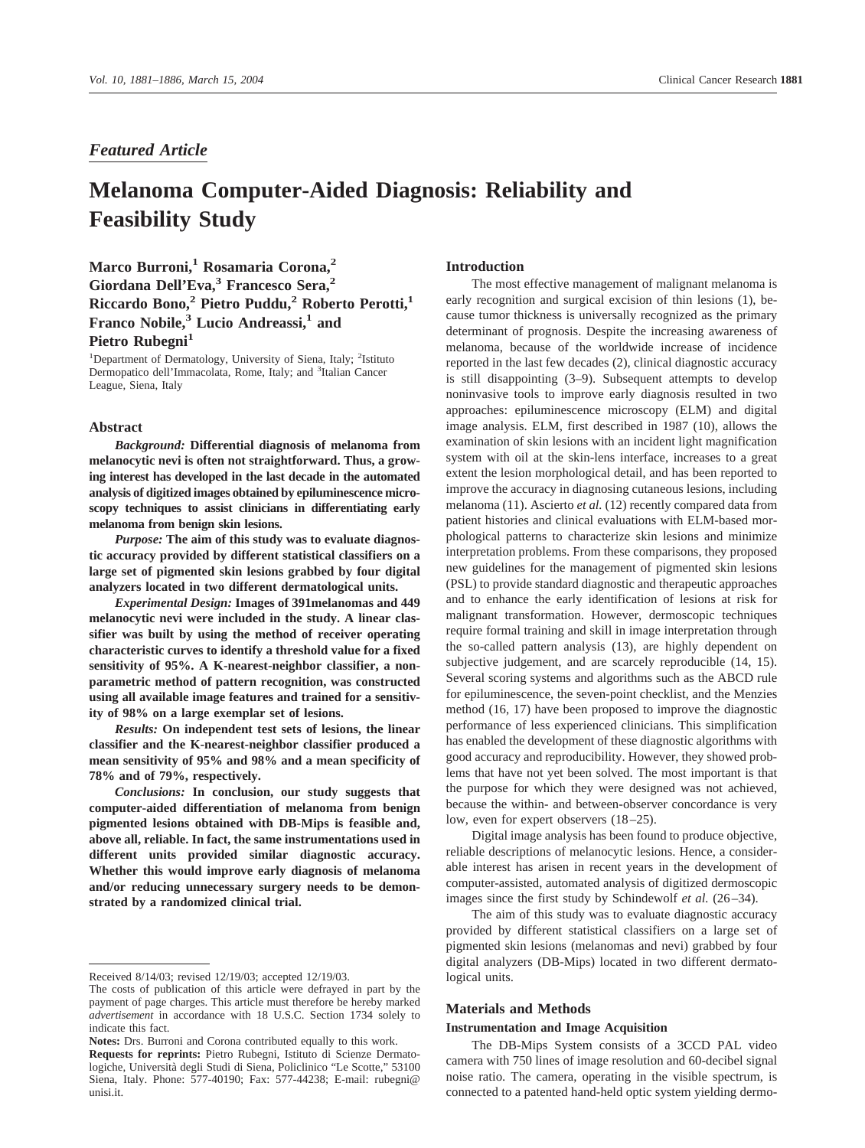# *Featured Article*

# **Melanoma Computer-Aided Diagnosis: Reliability and Feasibility Study**

**Marco Burroni,1 Rosamaria Corona,2 Giordana Dell'Eva,3 Francesco Sera,2 Riccardo Bono,2 Pietro Puddu,2 Roberto Perotti,1 Franco Nobile,3 Lucio Andreassi,1 and** Pietro Rubegni<sup>1</sup>

<sup>1</sup>Department of Dermatology, University of Siena, Italy; <sup>2</sup>Istituto Dermopatico dell'Immacolata, Rome, Italy; and <sup>3</sup>Italian Cancer League, Siena, Italy

#### **Abstract**

*Background:* **Differential diagnosis of melanoma from melanocytic nevi is often not straightforward. Thus, a growing interest has developed in the last decade in the automated analysis of digitized images obtained by epiluminescence microscopy techniques to assist clinicians in differentiating early melanoma from benign skin lesions.**

*Purpose:* **The aim of this study was to evaluate diagnostic accuracy provided by different statistical classifiers on a large set of pigmented skin lesions grabbed by four digital analyzers located in two different dermatological units.**

*Experimental Design:* **Images of 391melanomas and 449 melanocytic nevi were included in the study. A linear classifier was built by using the method of receiver operating characteristic curves to identify a threshold value for a fixed sensitivity of 95%. A K-nearest-neighbor classifier, a nonparametric method of pattern recognition, was constructed using all available image features and trained for a sensitivity of 98% on a large exemplar set of lesions.**

*Results:* **On independent test sets of lesions, the linear classifier and the K-nearest-neighbor classifier produced a mean sensitivity of 95% and 98% and a mean specificity of 78% and of 79%, respectively.**

*Conclusions:* **In conclusion, our study suggests that computer-aided differentiation of melanoma from benign pigmented lesions obtained with DB-Mips is feasible and, above all, reliable. In fact, the same instrumentations used in different units provided similar diagnostic accuracy. Whether this would improve early diagnosis of melanoma and/or reducing unnecessary surgery needs to be demonstrated by a randomized clinical trial.**

# **Introduction**

The most effective management of malignant melanoma is early recognition and surgical excision of thin lesions (1), because tumor thickness is universally recognized as the primary determinant of prognosis. Despite the increasing awareness of melanoma, because of the worldwide increase of incidence reported in the last few decades (2), clinical diagnostic accuracy is still disappointing (3–9). Subsequent attempts to develop noninvasive tools to improve early diagnosis resulted in two approaches: epiluminescence microscopy (ELM) and digital image analysis. ELM, first described in 1987 (10), allows the examination of skin lesions with an incident light magnification system with oil at the skin-lens interface, increases to a great extent the lesion morphological detail, and has been reported to improve the accuracy in diagnosing cutaneous lesions, including melanoma (11). Ascierto *et al.* (12) recently compared data from patient histories and clinical evaluations with ELM-based morphological patterns to characterize skin lesions and minimize interpretation problems. From these comparisons, they proposed new guidelines for the management of pigmented skin lesions (PSL) to provide standard diagnostic and therapeutic approaches and to enhance the early identification of lesions at risk for malignant transformation. However, dermoscopic techniques require formal training and skill in image interpretation through the so-called pattern analysis (13), are highly dependent on subjective judgement, and are scarcely reproducible (14, 15). Several scoring systems and algorithms such as the ABCD rule for epiluminescence, the seven-point checklist, and the Menzies method (16, 17) have been proposed to improve the diagnostic performance of less experienced clinicians. This simplification has enabled the development of these diagnostic algorithms with good accuracy and reproducibility. However, they showed problems that have not yet been solved. The most important is that the purpose for which they were designed was not achieved, because the within- and between-observer concordance is very low, even for expert observers (18–25).

Digital image analysis has been found to produce objective, reliable descriptions of melanocytic lesions. Hence, a considerable interest has arisen in recent years in the development of computer-assisted, automated analysis of digitized dermoscopic images since the first study by Schindewolf *et al.* (26–34).

The aim of this study was to evaluate diagnostic accuracy provided by different statistical classifiers on a large set of pigmented skin lesions (melanomas and nevi) grabbed by four digital analyzers (DB-Mips) located in two different dermatological units.

## **Materials and Methods**

#### **Instrumentation and Image Acquisition**

The DB-Mips System consists of a 3CCD PAL video camera with 750 lines of image resolution and 60-decibel signal noise ratio. The camera, operating in the visible spectrum, is connected to a patented hand-held optic system yielding dermo-

Received 8/14/03; revised 12/19/03; accepted 12/19/03.

The costs of publication of this article were defrayed in part by the payment of page charges. This article must therefore be hereby marked *advertisement* in accordance with 18 U.S.C. Section 1734 solely to indicate this fact.

**Notes:** Drs. Burroni and Corona contributed equally to this work. **Requests for reprints:** Pietro Rubegni, Istituto di Scienze Dermatologiche, Universita` degli Studi di Siena, Policlinico "Le Scotte," 53100 Siena, Italy. Phone: 577-40190; Fax: 577-44238; E-mail: rubegni@ unisi.it.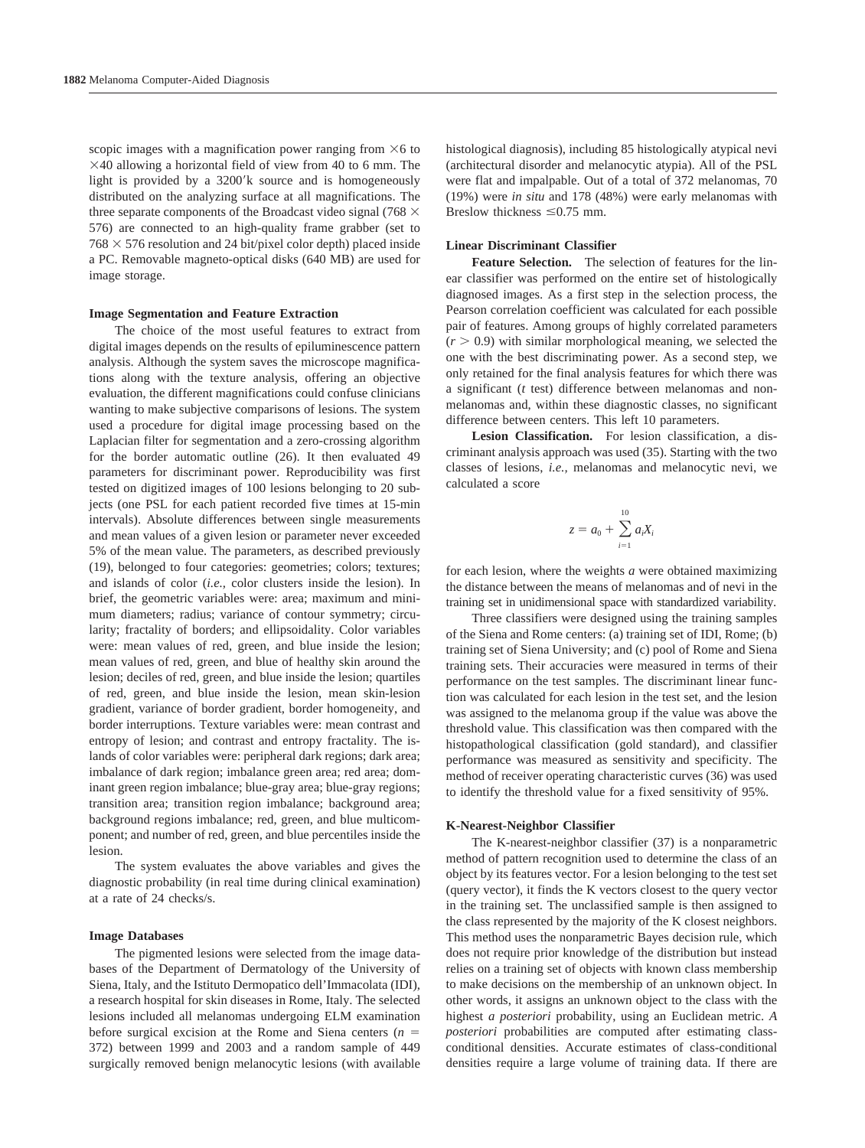scopic images with a magnification power ranging from  $\times$ 6 to  $\times$ 40 allowing a horizontal field of view from 40 to 6 mm. The light is provided by a 3200'k source and is homogeneously distributed on the analyzing surface at all magnifications. The three separate components of the Broadcast video signal (768  $\times$ 576) are connected to an high-quality frame grabber (set to  $768 \times 576$  resolution and 24 bit/pixel color depth) placed inside a PC. Removable magneto-optical disks (640 MB) are used for image storage.

#### **Image Segmentation and Feature Extraction**

The choice of the most useful features to extract from digital images depends on the results of epiluminescence pattern analysis. Although the system saves the microscope magnifications along with the texture analysis, offering an objective evaluation, the different magnifications could confuse clinicians wanting to make subjective comparisons of lesions. The system used a procedure for digital image processing based on the Laplacian filter for segmentation and a zero-crossing algorithm for the border automatic outline (26). It then evaluated 49 parameters for discriminant power. Reproducibility was first tested on digitized images of 100 lesions belonging to 20 subjects (one PSL for each patient recorded five times at 15-min intervals). Absolute differences between single measurements and mean values of a given lesion or parameter never exceeded 5% of the mean value. The parameters, as described previously (19), belonged to four categories: geometries; colors; textures; and islands of color (*i.e.,* color clusters inside the lesion). In brief, the geometric variables were: area; maximum and minimum diameters; radius; variance of contour symmetry; circularity; fractality of borders; and ellipsoidality. Color variables were: mean values of red, green, and blue inside the lesion; mean values of red, green, and blue of healthy skin around the lesion; deciles of red, green, and blue inside the lesion; quartiles of red, green, and blue inside the lesion, mean skin-lesion gradient, variance of border gradient, border homogeneity, and border interruptions. Texture variables were: mean contrast and entropy of lesion; and contrast and entropy fractality. The islands of color variables were: peripheral dark regions; dark area; imbalance of dark region; imbalance green area; red area; dominant green region imbalance; blue-gray area; blue-gray regions; transition area; transition region imbalance; background area; background regions imbalance; red, green, and blue multicomponent; and number of red, green, and blue percentiles inside the lesion.

The system evaluates the above variables and gives the diagnostic probability (in real time during clinical examination) at a rate of 24 checks/s.

#### **Image Databases**

The pigmented lesions were selected from the image databases of the Department of Dermatology of the University of Siena, Italy, and the Istituto Dermopatico dell'Immacolata (IDI), a research hospital for skin diseases in Rome, Italy. The selected lesions included all melanomas undergoing ELM examination before surgical excision at the Rome and Siena centers (*n* 372) between 1999 and 2003 and a random sample of 449 surgically removed benign melanocytic lesions (with available histological diagnosis), including 85 histologically atypical nevi (architectural disorder and melanocytic atypia). All of the PSL were flat and impalpable. Out of a total of 372 melanomas, 70 (19%) were *in situ* and 178 (48%) were early melanomas with Breslow thickness  $\leq 0.75$  mm.

## **Linear Discriminant Classifier**

**Feature Selection.** The selection of features for the linear classifier was performed on the entire set of histologically diagnosed images. As a first step in the selection process, the Pearson correlation coefficient was calculated for each possible pair of features. Among groups of highly correlated parameters  $(r > 0.9)$  with similar morphological meaning, we selected the one with the best discriminating power. As a second step, we only retained for the final analysis features for which there was a significant (*t* test) difference between melanomas and nonmelanomas and, within these diagnostic classes, no significant difference between centers. This left 10 parameters.

**Lesion Classification.** For lesion classification, a discriminant analysis approach was used (35). Starting with the two classes of lesions, *i.e.,* melanomas and melanocytic nevi, we calculated a score

$$
z = a_0 + \sum_{i=1}^{10} a_i X_i
$$

for each lesion, where the weights *a* were obtained maximizing the distance between the means of melanomas and of nevi in the training set in unidimensional space with standardized variability.

Three classifiers were designed using the training samples of the Siena and Rome centers: (a) training set of IDI, Rome; (b) training set of Siena University; and (c) pool of Rome and Siena training sets. Their accuracies were measured in terms of their performance on the test samples. The discriminant linear function was calculated for each lesion in the test set, and the lesion was assigned to the melanoma group if the value was above the threshold value. This classification was then compared with the histopathological classification (gold standard), and classifier performance was measured as sensitivity and specificity. The method of receiver operating characteristic curves (36) was used to identify the threshold value for a fixed sensitivity of 95%.

#### **K-Nearest-Neighbor Classifier**

The K-nearest-neighbor classifier (37) is a nonparametric method of pattern recognition used to determine the class of an object by its features vector. For a lesion belonging to the test set (query vector), it finds the K vectors closest to the query vector in the training set. The unclassified sample is then assigned to the class represented by the majority of the K closest neighbors. This method uses the nonparametric Bayes decision rule, which does not require prior knowledge of the distribution but instead relies on a training set of objects with known class membership to make decisions on the membership of an unknown object. In other words, it assigns an unknown object to the class with the highest *a posteriori* probability, using an Euclidean metric. *A posteriori* probabilities are computed after estimating classconditional densities. Accurate estimates of class-conditional densities require a large volume of training data. If there are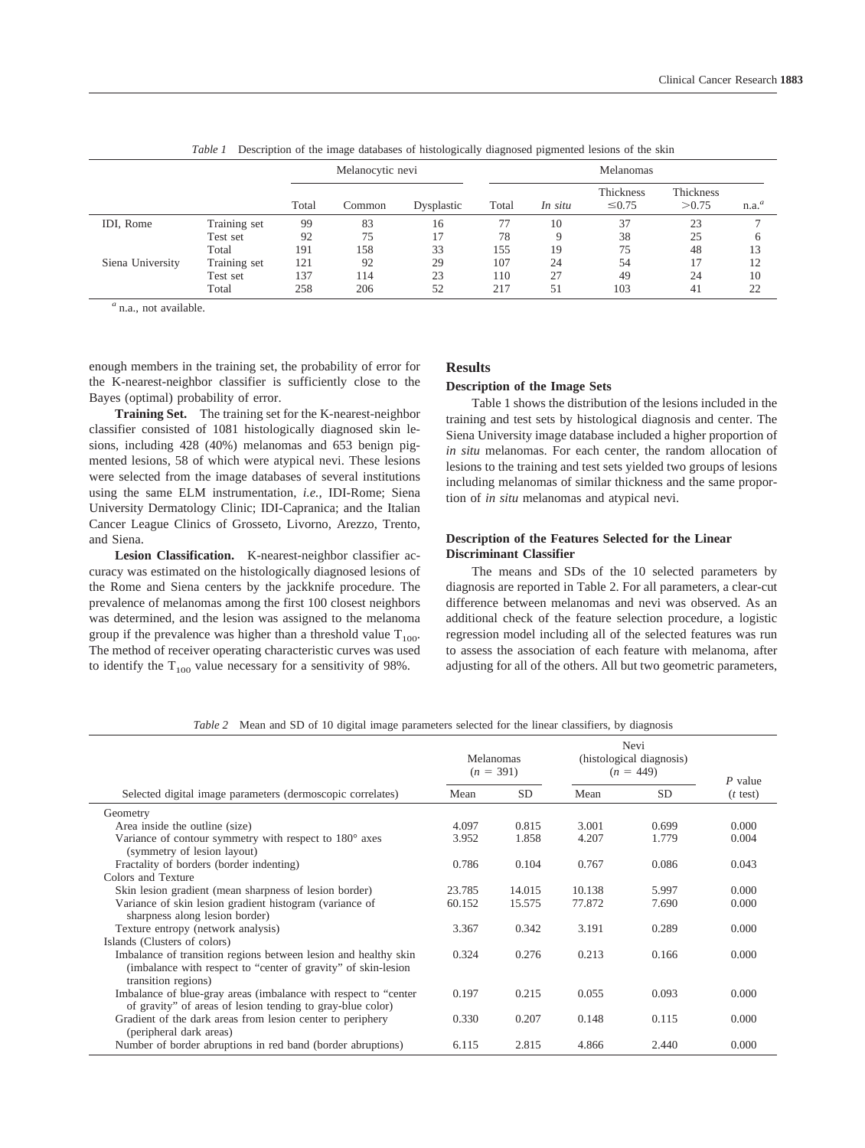|                  |              | Melanocytic nevi |        |            | Melanomas |         |                          |                     |                   |  |
|------------------|--------------|------------------|--------|------------|-----------|---------|--------------------------|---------------------|-------------------|--|
|                  |              | Total            | Common | Dysplastic | Total     | In situ | Thickness<br>$\leq 0.75$ | Thickness<br>> 0.75 | n.a. <sup>a</sup> |  |
| IDI, Rome        | Training set | 99               | 83     | 16         |           | 10      | 37                       | 23                  |                   |  |
|                  | Test set     | 92               | 75     | 17         | 78        |         | 38                       | 25                  |                   |  |
|                  | Total        | 191              | 158    | 33         | 155       | 19      | 75                       | 48                  | 13                |  |
| Siena University | Training set | 121              | 92     | 29         | 107       | 24      | 54                       | 17                  | 12                |  |
|                  | Test set     | 137              | 114    | 23         | 110       | 27      | 49                       | 24                  | 10                |  |
|                  | Total        | 258              | 206    | 52         | 217       | 51      | 103                      | 41                  | 22                |  |

*Table 1* Description of the image databases of histologically diagnosed pigmented lesions of the skin

*<sup>a</sup>* n.a., not available.

enough members in the training set, the probability of error for the K-nearest-neighbor classifier is sufficiently close to the Bayes (optimal) probability of error.

**Training Set.** The training set for the K-nearest-neighbor classifier consisted of 1081 histologically diagnosed skin lesions, including 428 (40%) melanomas and 653 benign pigmented lesions, 58 of which were atypical nevi. These lesions were selected from the image databases of several institutions using the same ELM instrumentation, *i.e.,* IDI-Rome; Siena University Dermatology Clinic; IDI-Capranica; and the Italian Cancer League Clinics of Grosseto, Livorno, Arezzo, Trento, and Siena.

**Lesion Classification.** K-nearest-neighbor classifier accuracy was estimated on the histologically diagnosed lesions of the Rome and Siena centers by the jackknife procedure. The prevalence of melanomas among the first 100 closest neighbors was determined, and the lesion was assigned to the melanoma group if the prevalence was higher than a threshold value  $T_{100}$ . The method of receiver operating characteristic curves was used to identify the  $T_{100}$  value necessary for a sensitivity of 98%.

# **Results**

## **Description of the Image Sets**

Table 1 shows the distribution of the lesions included in the training and test sets by histological diagnosis and center. The Siena University image database included a higher proportion of *in situ* melanomas. For each center, the random allocation of lesions to the training and test sets yielded two groups of lesions including melanomas of similar thickness and the same proportion of *in situ* melanomas and atypical nevi.

## **Description of the Features Selected for the Linear Discriminant Classifier**

The means and SDs of the 10 selected parameters by diagnosis are reported in Table 2. For all parameters, a clear-cut difference between melanomas and nevi was observed. As an additional check of the feature selection procedure, a logistic regression model including all of the selected features was run to assess the association of each feature with melanoma, after adjusting for all of the others. All but two geometric parameters,

|                                                                                      |        | Melanomas<br>$(n = 391)$ | Nevi<br>(histological diagnosis)<br>$(n = 449)$ | $P$ value |            |  |
|--------------------------------------------------------------------------------------|--------|--------------------------|-------------------------------------------------|-----------|------------|--|
| Selected digital image parameters (dermoscopic correlates)                           | Mean   | <b>SD</b>                | SD.<br>Mean                                     |           | $(t$ test) |  |
| Geometry                                                                             |        |                          |                                                 |           |            |  |
| Area inside the outline (size)                                                       | 4.097  | 0.815                    | 3.001                                           | 0.699     | 0.000      |  |
| Variance of contour symmetry with respect to 180° axes                               | 3.952  | 1.858                    | 4.207                                           | 1.779     | 0.004      |  |
| (symmetry of lesion layout)                                                          |        |                          |                                                 |           |            |  |
| Fractality of borders (border indenting)                                             | 0.786  | 0.104                    | 0.767                                           | 0.086     | 0.043      |  |
| Colors and Texture                                                                   |        |                          |                                                 |           |            |  |
| Skin lesion gradient (mean sharpness of lesion border)                               | 23.785 | 14.015                   | 10.138                                          | 5.997     | 0.000      |  |
| Variance of skin lesion gradient histogram (variance of                              | 60.152 | 15.575                   | 77.872                                          | 7.690     | 0.000      |  |
| sharpness along lesion border)                                                       |        |                          |                                                 |           |            |  |
| Texture entropy (network analysis)                                                   | 3.367  | 0.342                    | 3.191                                           | 0.289     | 0.000      |  |
| Islands (Clusters of colors)                                                         |        |                          |                                                 |           |            |  |
| Imbalance of transition regions between lesion and healthy skin                      | 0.324  | 0.276                    | 0.213                                           | 0.166     | 0.000      |  |
| (imbalance with respect to "center of gravity" of skin-lesion<br>transition regions) |        |                          |                                                 |           |            |  |
| Imbalance of blue-gray areas (imbalance with respect to "center"                     | 0.197  | 0.215                    | 0.055                                           | 0.093     | 0.000      |  |
| of gravity" of areas of lesion tending to gray-blue color)                           |        |                          |                                                 |           |            |  |
| Gradient of the dark areas from lesion center to periphery                           | 0.330  | 0.207                    | 0.148                                           | 0.115     | 0.000      |  |
| (peripheral dark areas)                                                              |        |                          |                                                 |           |            |  |
| Number of border abruptions in red band (border abruptions)                          | 6.115  | 2.815                    | 4.866                                           | 2.440     | 0.000      |  |

*Table 2* Mean and SD of 10 digital image parameters selected for the linear classifiers, by diagnosis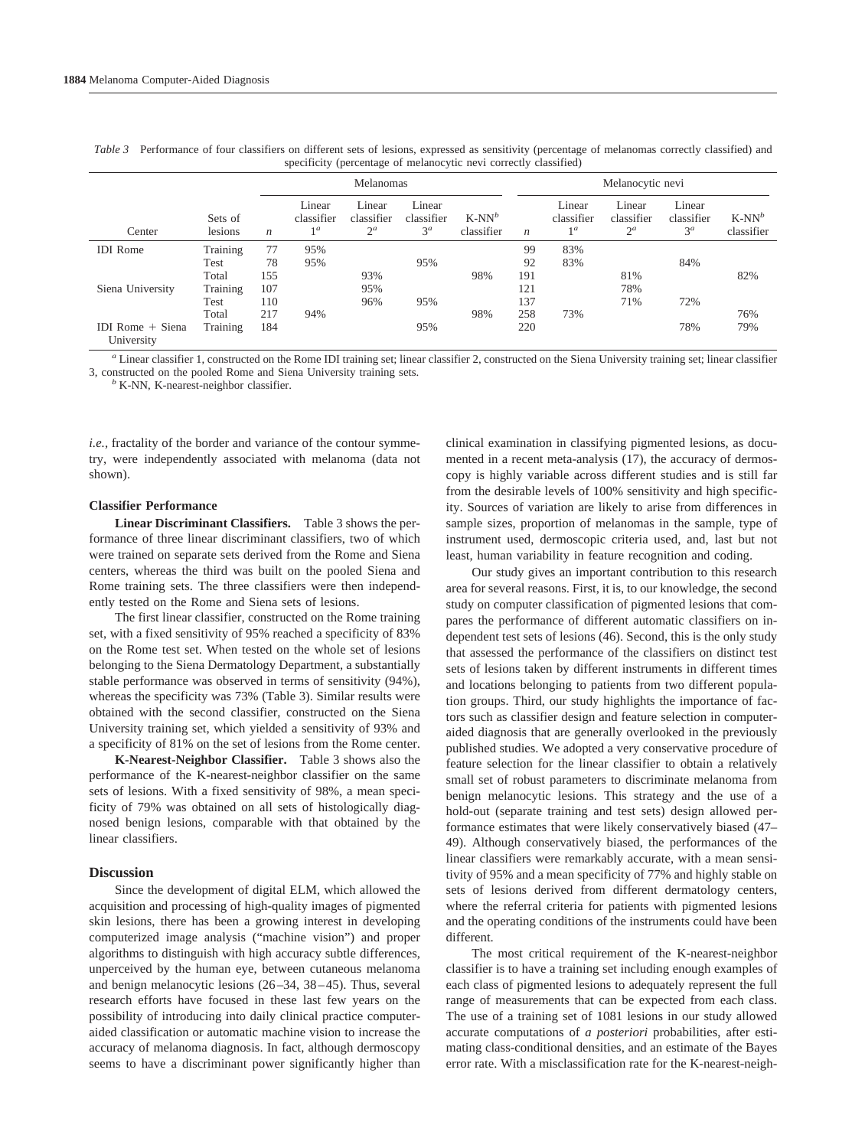|                                  |                    | Melanomas        |                                        |                               |                               | Melanocytic nevi       |                  |                                        |                               |                               |                        |
|----------------------------------|--------------------|------------------|----------------------------------------|-------------------------------|-------------------------------|------------------------|------------------|----------------------------------------|-------------------------------|-------------------------------|------------------------|
| Center                           | Sets of<br>lesions | $\boldsymbol{n}$ | Linear<br>classifier<br>1 <sup>a</sup> | Linear<br>classifier<br>$2^a$ | Linear<br>classifier<br>$3^a$ | $K-NN^b$<br>classifier | $\boldsymbol{n}$ | Linear<br>classifier<br>1 <sup>a</sup> | Linear<br>classifier<br>$2^a$ | Linear<br>classifier<br>$3^a$ | $K-NN^b$<br>classifier |
| <b>IDI</b> Rome                  | Training           | 77               | 95%                                    |                               |                               |                        | 99               | 83%                                    |                               |                               |                        |
|                                  | Test               | 78               | 95%                                    |                               | 95%                           |                        | 92               | 83%                                    |                               | 84%                           |                        |
|                                  | Total              | 155              |                                        | 93%                           |                               | 98%                    | 191              |                                        | 81%                           |                               | 82%                    |
| Siena University                 | Training           | 107              |                                        | 95%                           |                               |                        | 121              |                                        | 78%                           |                               |                        |
|                                  | Test               | 110              |                                        | 96%                           | 95%                           |                        | 137              |                                        | 71%                           | 72%                           |                        |
|                                  | Total              | 217              | 94%                                    |                               |                               | 98%                    | 258              | 73%                                    |                               |                               | 76%                    |
| IDI Rome $+$ Siena<br>University | Training           | 184              |                                        |                               | 95%                           |                        | 220              |                                        |                               | 78%                           | 79%                    |

*Table 3* Performance of four classifiers on different sets of lesions, expressed as sensitivity (percentage of melanomas correctly classified) and specificity (percentage of melanocytic nevi correctly classified)

*<sup>a</sup>* Linear classifier 1, constructed on the Rome IDI training set; linear classifier 2, constructed on the Siena University training set; linear classifier 3, constructed on the pooled Rome and Siena University training sets. *<sup>b</sup>* K-NN, K-nearest-neighbor classifier.

*i.e.,* fractality of the border and variance of the contour symmetry, were independently associated with melanoma (data not shown).

#### **Classifier Performance**

**Linear Discriminant Classifiers.** Table 3 shows the performance of three linear discriminant classifiers, two of which were trained on separate sets derived from the Rome and Siena centers, whereas the third was built on the pooled Siena and Rome training sets. The three classifiers were then independently tested on the Rome and Siena sets of lesions.

The first linear classifier, constructed on the Rome training set, with a fixed sensitivity of 95% reached a specificity of 83% on the Rome test set. When tested on the whole set of lesions belonging to the Siena Dermatology Department, a substantially stable performance was observed in terms of sensitivity (94%), whereas the specificity was 73% (Table 3). Similar results were obtained with the second classifier, constructed on the Siena University training set, which yielded a sensitivity of 93% and a specificity of 81% on the set of lesions from the Rome center.

**K-Nearest-Neighbor Classifier.** Table 3 shows also the performance of the K-nearest-neighbor classifier on the same sets of lesions. With a fixed sensitivity of 98%, a mean specificity of 79% was obtained on all sets of histologically diagnosed benign lesions, comparable with that obtained by the linear classifiers.

#### **Discussion**

Since the development of digital ELM, which allowed the acquisition and processing of high-quality images of pigmented skin lesions, there has been a growing interest in developing computerized image analysis ("machine vision") and proper algorithms to distinguish with high accuracy subtle differences, unperceived by the human eye, between cutaneous melanoma and benign melanocytic lesions (26–34, 38–45). Thus, several research efforts have focused in these last few years on the possibility of introducing into daily clinical practice computeraided classification or automatic machine vision to increase the accuracy of melanoma diagnosis. In fact, although dermoscopy seems to have a discriminant power significantly higher than clinical examination in classifying pigmented lesions, as documented in a recent meta-analysis (17), the accuracy of dermoscopy is highly variable across different studies and is still far from the desirable levels of 100% sensitivity and high specificity. Sources of variation are likely to arise from differences in sample sizes, proportion of melanomas in the sample, type of instrument used, dermoscopic criteria used, and, last but not least, human variability in feature recognition and coding.

Our study gives an important contribution to this research area for several reasons. First, it is, to our knowledge, the second study on computer classification of pigmented lesions that compares the performance of different automatic classifiers on independent test sets of lesions (46). Second, this is the only study that assessed the performance of the classifiers on distinct test sets of lesions taken by different instruments in different times and locations belonging to patients from two different population groups. Third, our study highlights the importance of factors such as classifier design and feature selection in computeraided diagnosis that are generally overlooked in the previously published studies. We adopted a very conservative procedure of feature selection for the linear classifier to obtain a relatively small set of robust parameters to discriminate melanoma from benign melanocytic lesions. This strategy and the use of a hold-out (separate training and test sets) design allowed performance estimates that were likely conservatively biased (47– 49). Although conservatively biased, the performances of the linear classifiers were remarkably accurate, with a mean sensitivity of 95% and a mean specificity of 77% and highly stable on sets of lesions derived from different dermatology centers, where the referral criteria for patients with pigmented lesions and the operating conditions of the instruments could have been different.

The most critical requirement of the K-nearest-neighbor classifier is to have a training set including enough examples of each class of pigmented lesions to adequately represent the full range of measurements that can be expected from each class. The use of a training set of 1081 lesions in our study allowed accurate computations of *a posteriori* probabilities, after estimating class-conditional densities, and an estimate of the Bayes error rate. With a misclassification rate for the K-nearest-neigh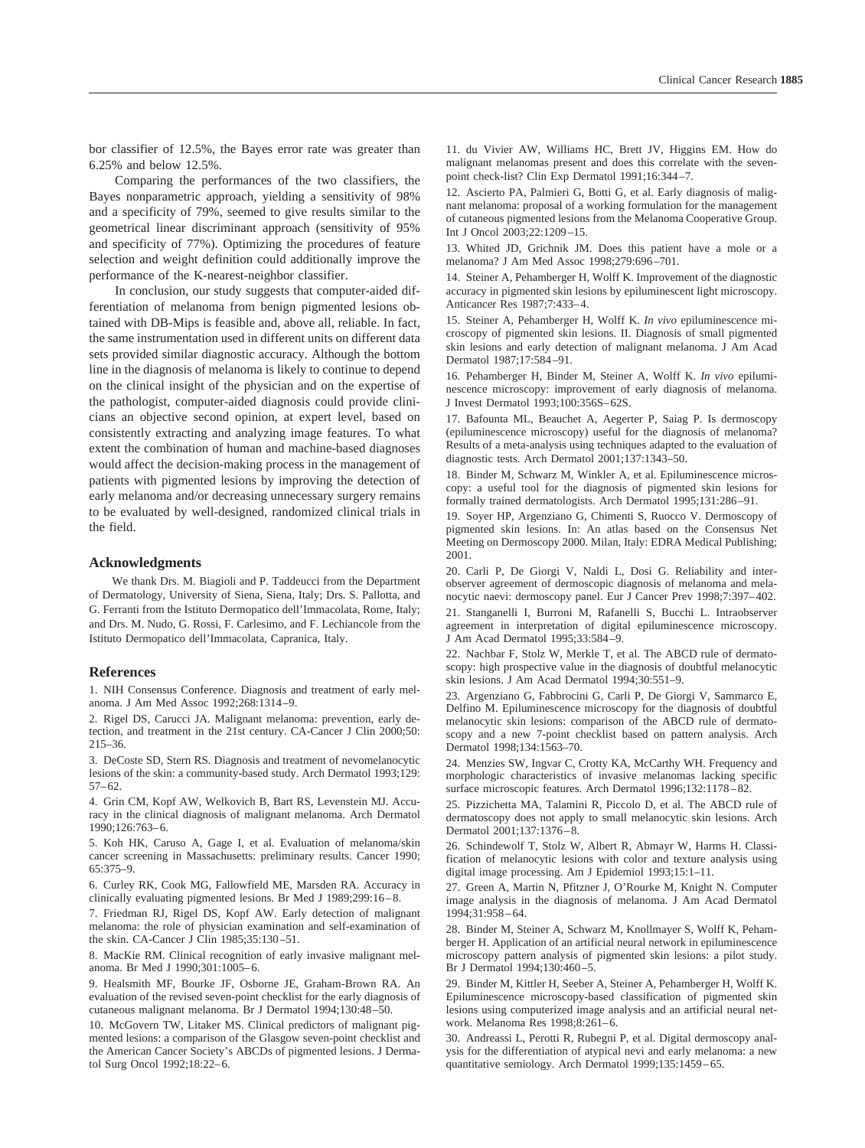bor classifier of 12.5%, the Bayes error rate was greater than 6.25% and below 12.5%.

Comparing the performances of the two classifiers, the Bayes nonparametric approach, yielding a sensitivity of 98% and a specificity of 79%, seemed to give results similar to the geometrical linear discriminant approach (sensitivity of 95% and specificity of 77%). Optimizing the procedures of feature selection and weight definition could additionally improve the performance of the K-nearest-neighbor classifier.

In conclusion, our study suggests that computer-aided differentiation of melanoma from benign pigmented lesions obtained with DB-Mips is feasible and, above all, reliable. In fact, the same instrumentation used in different units on different data sets provided similar diagnostic accuracy. Although the bottom line in the diagnosis of melanoma is likely to continue to depend on the clinical insight of the physician and on the expertise of the pathologist, computer-aided diagnosis could provide clinicians an objective second opinion, at expert level, based on consistently extracting and analyzing image features. To what extent the combination of human and machine-based diagnoses would affect the decision-making process in the management of patients with pigmented lesions by improving the detection of early melanoma and/or decreasing unnecessary surgery remains to be evaluated by well-designed, randomized clinical trials in the field.

#### **Acknowledgments**

We thank Drs. M. Biagioli and P. Taddeucci from the Department of Dermatology, University of Siena, Siena, Italy; Drs. S. Pallotta, and G. Ferranti from the Istituto Dermopatico dell'Immacolata, Rome, Italy; and Drs. M. Nudo, G. Rossi, F. Carlesimo, and F. Lechiancole from the Istituto Dermopatico dell'Immacolata, Capranica, Italy.

#### **References**

1. NIH Consensus Conference. Diagnosis and treatment of early melanoma. J Am Med Assoc 1992;268:1314–9.

2. Rigel DS, Carucci JA. Malignant melanoma: prevention, early detection, and treatment in the 21st century. CA-Cancer J Clin 2000;50: 215–36.

3. DeCoste SD, Stern RS. Diagnosis and treatment of nevomelanocytic lesions of the skin: a community-based study. Arch Dermatol 1993;129: 57–62.

4. Grin CM, Kopf AW, Welkovich B, Bart RS, Levenstein MJ. Accuracy in the clinical diagnosis of malignant melanoma. Arch Dermatol 1990;126:763–6.

5. Koh HK, Caruso A, Gage I, et al*.* Evaluation of melanoma/skin cancer screening in Massachusetts: preliminary results. Cancer 1990; 65:375–9.

6. Curley RK, Cook MG, Fallowfield ME, Marsden RA. Accuracy in clinically evaluating pigmented lesions. Br Med J 1989;299:16–8.

7. Friedman RJ, Rigel DS, Kopf AW. Early detection of malignant melanoma: the role of physician examination and self-examination of the skin. CA-Cancer J Clin 1985;35:130–51.

8. MacKie RM. Clinical recognition of early invasive malignant melanoma. Br Med J 1990;301:1005–6.

9. Healsmith MF, Bourke JF, Osborne JE, Graham-Brown RA. An evaluation of the revised seven-point checklist for the early diagnosis of cutaneous malignant melanoma. Br J Dermatol 1994;130:48–50.

10. McGovern TW, Litaker MS. Clinical predictors of malignant pigmented lesions: a comparison of the Glasgow seven-point checklist and the American Cancer Society's ABCDs of pigmented lesions. J Dermatol Surg Oncol 1992;18:22–6.

11. du Vivier AW, Williams HC, Brett JV, Higgins EM. How do malignant melanomas present and does this correlate with the sevenpoint check-list? Clin Exp Dermatol 1991;16:344–7.

12. Ascierto PA, Palmieri G, Botti G, et al. Early diagnosis of malignant melanoma: proposal of a working formulation for the management of cutaneous pigmented lesions from the Melanoma Cooperative Group. Int J Oncol 2003;22:1209–15.

13. Whited JD, Grichnik JM. Does this patient have a mole or a melanoma? J Am Med Assoc 1998;279:696–701.

14. Steiner A, Pehamberger H, Wolff K. Improvement of the diagnostic accuracy in pigmented skin lesions by epiluminescent light microscopy. Anticancer Res 1987;7:433–4.

15. Steiner A, Pehamberger H, Wolff K. *In vivo* epiluminescence microscopy of pigmented skin lesions. II. Diagnosis of small pigmented skin lesions and early detection of malignant melanoma. J Am Acad Dermatol 1987;17:584–91.

16. Pehamberger H, Binder M, Steiner A, Wolff K. *In vivo* epiluminescence microscopy: improvement of early diagnosis of melanoma. J Invest Dermatol 1993;100:356S–62S.

17. Bafounta ML, Beauchet A, Aegerter P, Saiag P. Is dermoscopy (epiluminescence microscopy) useful for the diagnosis of melanoma? Results of a meta-analysis using techniques adapted to the evaluation of diagnostic tests. Arch Dermatol 2001;137:1343–50.

18. Binder M, Schwarz M, Winkler A, et al. Epiluminescence microscopy: a useful tool for the diagnosis of pigmented skin lesions for formally trained dermatologists. Arch Dermatol 1995;131:286–91.

19. Soyer HP, Argenziano G, Chimenti S, Ruocco V. Dermoscopy of pigmented skin lesions. In: An atlas based on the Consensus Net Meeting on Dermoscopy 2000. Milan, Italy: EDRA Medical Publishing; 2001.

20. Carli P, De Giorgi V, Naldi L, Dosi G. Reliability and interobserver agreement of dermoscopic diagnosis of melanoma and melanocytic naevi: dermoscopy panel. Eur J Cancer Prev 1998;7:397–402. 21. Stanganelli I, Burroni M, Rafanelli S, Bucchi L. Intraobserver agreement in interpretation of digital epiluminescence microscopy. J Am Acad Dermatol 1995;33:584–9.

22. Nachbar F, Stolz W, Merkle T, et al. The ABCD rule of dermatoscopy: high prospective value in the diagnosis of doubtful melanocytic skin lesions. J Am Acad Dermatol 1994;30:551–9.

23. Argenziano G, Fabbrocini G, Carli P, De Giorgi V, Sammarco E, Delfino M. Epiluminescence microscopy for the diagnosis of doubtful melanocytic skin lesions: comparison of the ABCD rule of dermatoscopy and a new 7-point checklist based on pattern analysis. Arch Dermatol 1998;134:1563–70.

24. Menzies SW, Ingvar C, Crotty KA, McCarthy WH. Frequency and morphologic characteristics of invasive melanomas lacking specific surface microscopic features. Arch Dermatol 1996;132:1178–82.

25. Pizzichetta MA, Talamini R, Piccolo D, et al. The ABCD rule of dermatoscopy does not apply to small melanocytic skin lesions. Arch Dermatol 2001;137:1376–8.

26. Schindewolf T, Stolz W, Albert R, Abmayr W, Harms H. Classification of melanocytic lesions with color and texture analysis using digital image processing. Am J Epidemiol 1993;15:1–11.

27. Green A, Martin N, Pfitzner J, O'Rourke M, Knight N. Computer image analysis in the diagnosis of melanoma. J Am Acad Dermatol 1994;31:958–64.

28. Binder M, Steiner A, Schwarz M, Knollmayer S, Wolff K, Pehamberger H. Application of an artificial neural network in epiluminescence microscopy pattern analysis of pigmented skin lesions: a pilot study. Br J Dermatol 1994;130:460–5.

29. Binder M, Kittler H, Seeber A, Steiner A, Pehamberger H, Wolff K. Epiluminescence microscopy-based classification of pigmented skin lesions using computerized image analysis and an artificial neural network. Melanoma Res 1998;8:261–6.

30. Andreassi L, Perotti R, Rubegni P, et al. Digital dermoscopy analysis for the differentiation of atypical nevi and early melanoma: a new quantitative semiology. Arch Dermatol 1999;135:1459–65.